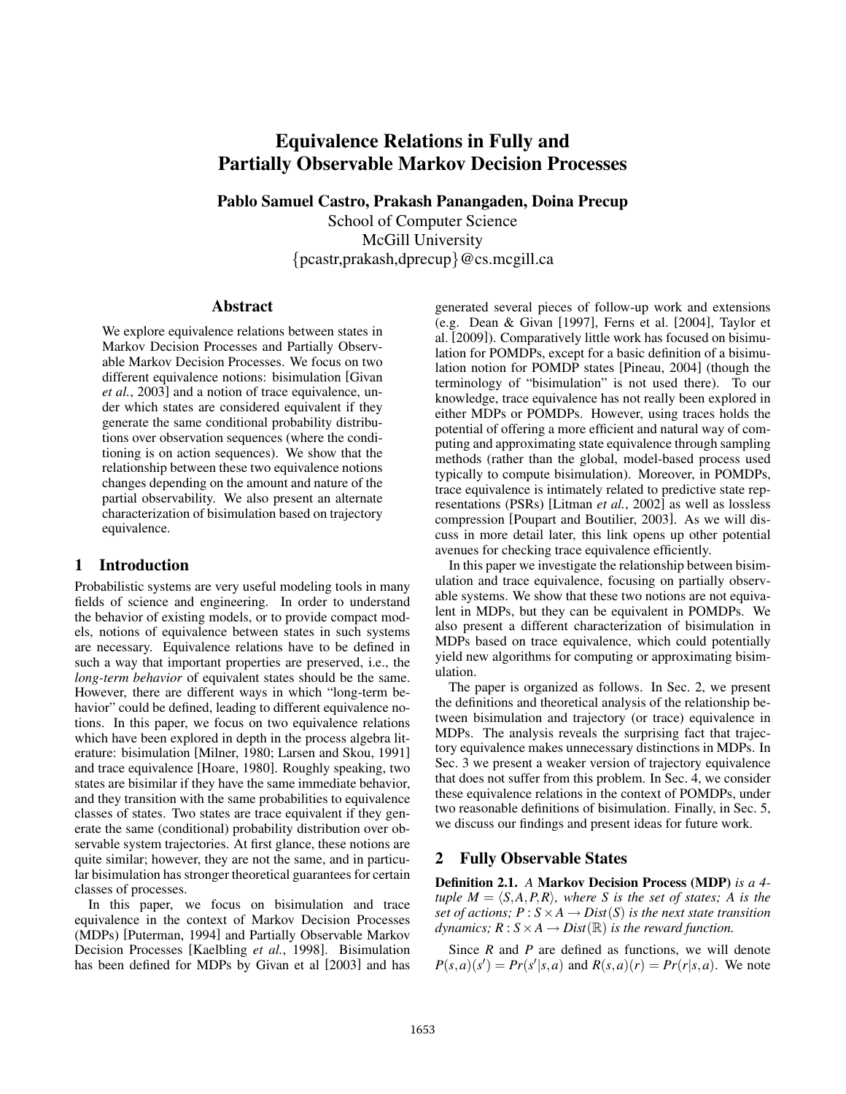# Equivalence Relations in Fully and Partially Observable Markov Decision Processes

Pablo Samuel Castro, Prakash Panangaden, Doina Precup

School of Computer Science McGill University {pcastr,prakash,dprecup}@cs.mcgill.ca

#### Abstract

We explore equivalence relations between states in Markov Decision Processes and Partially Observable Markov Decision Processes. We focus on two different equivalence notions: bisimulation [Givan *et al.*, 2003] and a notion of trace equivalence, under which states are considered equivalent if they generate the same conditional probability distributions over observation sequences (where the conditioning is on action sequences). We show that the relationship between these two equivalence notions changes depending on the amount and nature of the partial observability. We also present an alternate characterization of bisimulation based on trajectory equivalence.

### 1 Introduction

Probabilistic systems are very useful modeling tools in many fields of science and engineering. In order to understand the behavior of existing models, or to provide compact models, notions of equivalence between states in such systems are necessary. Equivalence relations have to be defined in such a way that important properties are preserved, i.e., the *long-term behavior* of equivalent states should be the same. However, there are different ways in which "long-term behavior" could be defined, leading to different equivalence notions. In this paper, we focus on two equivalence relations which have been explored in depth in the process algebra literature: bisimulation [Milner, 1980; Larsen and Skou, 1991] and trace equivalence [Hoare, 1980]. Roughly speaking, two states are bisimilar if they have the same immediate behavior, and they transition with the same probabilities to equivalence classes of states. Two states are trace equivalent if they generate the same (conditional) probability distribution over observable system trajectories. At first glance, these notions are quite similar; however, they are not the same, and in particular bisimulation has stronger theoretical guarantees for certain classes of processes.

In this paper, we focus on bisimulation and trace equivalence in the context of Markov Decision Processes (MDPs) [Puterman, 1994] and Partially Observable Markov Decision Processes [Kaelbling *et al.*, 1998]. Bisimulation has been defined for MDPs by Givan et al [2003] and has generated several pieces of follow-up work and extensions (e.g. Dean & Givan [1997], Ferns et al. [2004], Taylor et al. [2009]). Comparatively little work has focused on bisimulation for POMDPs, except for a basic definition of a bisimulation notion for POMDP states [Pineau, 2004] (though the terminology of "bisimulation" is not used there). To our knowledge, trace equivalence has not really been explored in either MDPs or POMDPs. However, using traces holds the potential of offering a more efficient and natural way of computing and approximating state equivalence through sampling methods (rather than the global, model-based process used typically to compute bisimulation). Moreover, in POMDPs, trace equivalence is intimately related to predictive state representations (PSRs) [Litman *et al.*, 2002] as well as lossless compression [Poupart and Boutilier, 2003]. As we will discuss in more detail later, this link opens up other potential avenues for checking trace equivalence efficiently.

In this paper we investigate the relationship between bisimulation and trace equivalence, focusing on partially observable systems. We show that these two notions are not equivalent in MDPs, but they can be equivalent in POMDPs. We also present a different characterization of bisimulation in MDPs based on trace equivalence, which could potentially yield new algorithms for computing or approximating bisimulation.

The paper is organized as follows. In Sec. 2, we present the definitions and theoretical analysis of the relationship between bisimulation and trajectory (or trace) equivalence in MDPs. The analysis reveals the surprising fact that trajectory equivalence makes unnecessary distinctions in MDPs. In Sec. 3 we present a weaker version of trajectory equivalence that does not suffer from this problem. In Sec. 4, we consider these equivalence relations in the context of POMDPs, under two reasonable definitions of bisimulation. Finally, in Sec. 5, we discuss our findings and present ideas for future work.

# 2 Fully Observable States

Definition 2.1. *A* Markov Decision Process (MDP) *is a 4 tuple*  $M = \langle S, A, P, R \rangle$ *, where S is the set of states; A is the set of actions;*  $P : S \times A \rightarrow Dist(S)$  *is the next state transition dynamics;*  $R: S \times A \rightarrow Dist(\mathbb{R})$  *is the reward function.* 

Since *R* and *P* are defined as functions, we will denote  $P(s, a)(s') = Pr(s'|s, a)$  and  $R(s, a)(r) = Pr(r|s, a)$ . We note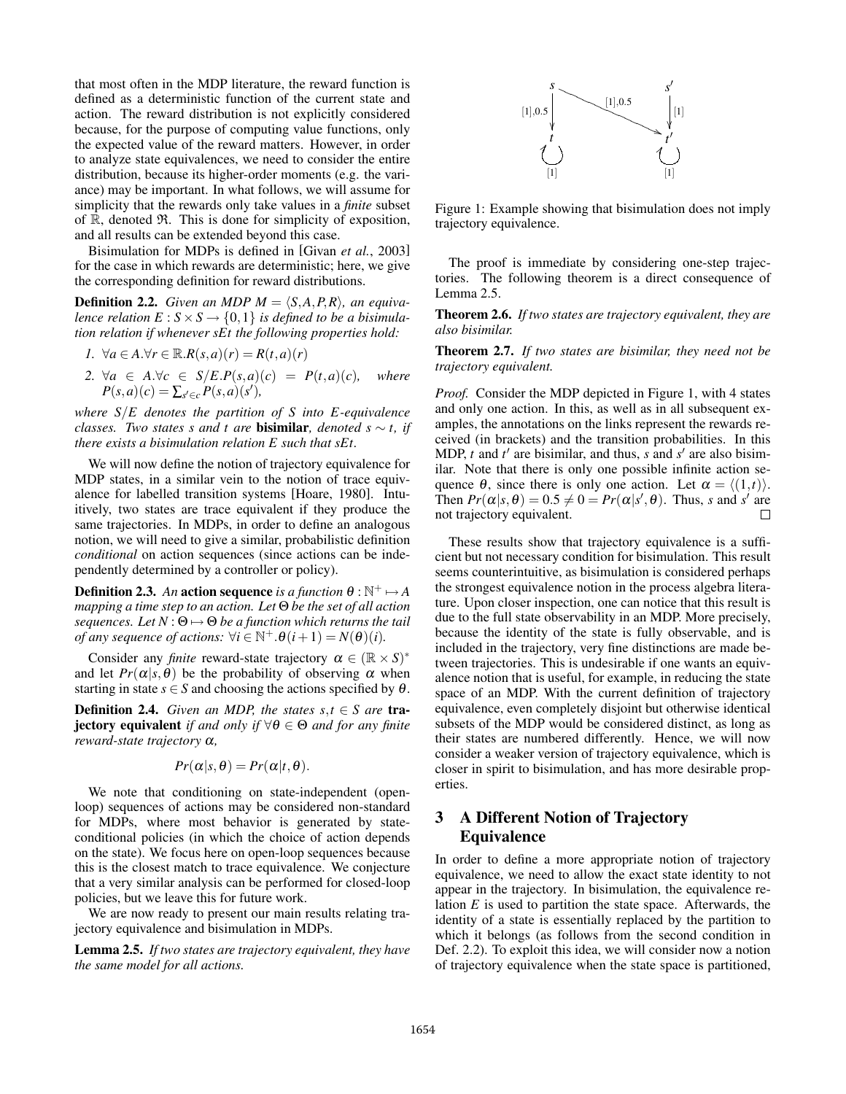that most often in the MDP literature, the reward function is defined as a deterministic function of the current state and action. The reward distribution is not explicitly considered because, for the purpose of computing value functions, only the expected value of the reward matters. However, in order to analyze state equivalences, we need to consider the entire distribution, because its higher-order moments (e.g. the variance) may be important. In what follows, we will assume for simplicity that the rewards only take values in a *finite* subset of  $\mathbb{R}$ , denoted  $\mathfrak{R}$ . This is done for simplicity of exposition, and all results can be extended beyond this case.

Bisimulation for MDPs is defined in [Givan *et al.*, 2003] for the case in which rewards are deterministic; here, we give the corresponding definition for reward distributions.

**Definition 2.2.** Given an MDP  $M = \langle S, A, P, R \rangle$ , an equiva*lence relation*  $E: S \times S \rightarrow \{0,1\}$  *is defined to be a bisimulation relation if whenever sEt the following properties hold:*

- *1.* ∀*a* ∈ *A*.∀*r* ∈  $\mathbb{R}$ *.R*(*s*,*a*)(*r*) = *R*(*t*,*a*)(*r*)
- 2.  $\forall a \in A.\forall c \in S/E.P(s,a)(c) = P(t,a)(c)$ , where  $P(s, a)(c) = \sum_{s' \in c} P(s, a)(s')$ ,

*where S*/*E denotes the partition of S into E-equivalence classes. Two states s and t are bisimilar, denoted s*  $\sim t$ , *if there exists a bisimulation relation E such that sEt.*

We will now define the notion of trajectory equivalence for MDP states, in a similar vein to the notion of trace equivalence for labelled transition systems [Hoare, 1980]. Intuitively, two states are trace equivalent if they produce the same trajectories. In MDPs, in order to define an analogous notion, we will need to give a similar, probabilistic definition *conditional* on action sequences (since actions can be independently determined by a controller or policy).

**Definition 2.3.** An action sequence *is a function*  $\theta : \mathbb{N}^+ \mapsto A$ *mapping a time step to an action. Let* Θ *be the set of all action sequences.* Let  $N : \Theta \mapsto \Theta$  *be a function which returns the tail of any sequence of actions:*  $\forall i \in \mathbb{N}^+ \ldotp \theta(i+1) = N(\theta)(i)$ .

Consider any *finite* reward-state trajectory  $\alpha \in (\mathbb{R} \times S)^*$ and let  $Pr(\alpha|s, \theta)$  be the probability of observing  $\alpha$  when starting in state  $s \in S$  and choosing the actions specified by  $\theta$ .

**Definition 2.4.** *Given an MDP, the states s,t*  $\in$  *S are* trajectory equivalent *if and only if* ∀θ ∈ Θ *and for any finite reward-state trajectory* α*,*

$$
Pr(\alpha|s,\theta) = Pr(\alpha|t,\theta).
$$

We note that conditioning on state-independent (openloop) sequences of actions may be considered non-standard for MDPs, where most behavior is generated by stateconditional policies (in which the choice of action depends on the state). We focus here on open-loop sequences because this is the closest match to trace equivalence. We conjecture that a very similar analysis can be performed for closed-loop policies, but we leave this for future work.

We are now ready to present our main results relating trajectory equivalence and bisimulation in MDPs.

Lemma 2.5. *If two states are trajectory equivalent, they have the same model for all actions.*



Figure 1: Example showing that bisimulation does not imply trajectory equivalence.

The proof is immediate by considering one-step trajectories. The following theorem is a direct consequence of Lemma 2.5.

Theorem 2.6. *If two states are trajectory equivalent, they are also bisimilar.*

Theorem 2.7. *If two states are bisimilar, they need not be trajectory equivalent.*

*Proof.* Consider the MDP depicted in Figure 1, with 4 states and only one action. In this, as well as in all subsequent examples, the annotations on the links represent the rewards received (in brackets) and the transition probabilities. In this MDP, *t* and  $t'$  are bisimilar, and thus, *s* and  $s'$  are also bisimilar. Note that there is only one possible infinite action sequence  $\theta$ , since there is only one action. Let  $\alpha = \langle (1,t) \rangle$ . Then  $Pr(\alpha|s, \theta) = 0.5 \neq 0 = Pr(\alpha|s', \theta)$ . Thus, *s* and *s'* are not trajectory equivalent. П

These results show that trajectory equivalence is a sufficient but not necessary condition for bisimulation. This result seems counterintuitive, as bisimulation is considered perhaps the strongest equivalence notion in the process algebra literature. Upon closer inspection, one can notice that this result is due to the full state observability in an MDP. More precisely, because the identity of the state is fully observable, and is included in the trajectory, very fine distinctions are made between trajectories. This is undesirable if one wants an equivalence notion that is useful, for example, in reducing the state space of an MDP. With the current definition of trajectory equivalence, even completely disjoint but otherwise identical subsets of the MDP would be considered distinct, as long as their states are numbered differently. Hence, we will now consider a weaker version of trajectory equivalence, which is closer in spirit to bisimulation, and has more desirable properties.

# 3 A Different Notion of Trajectory Equivalence

In order to define a more appropriate notion of trajectory equivalence, we need to allow the exact state identity to not appear in the trajectory. In bisimulation, the equivalence relation *E* is used to partition the state space. Afterwards, the identity of a state is essentially replaced by the partition to which it belongs (as follows from the second condition in Def. 2.2). To exploit this idea, we will consider now a notion of trajectory equivalence when the state space is partitioned,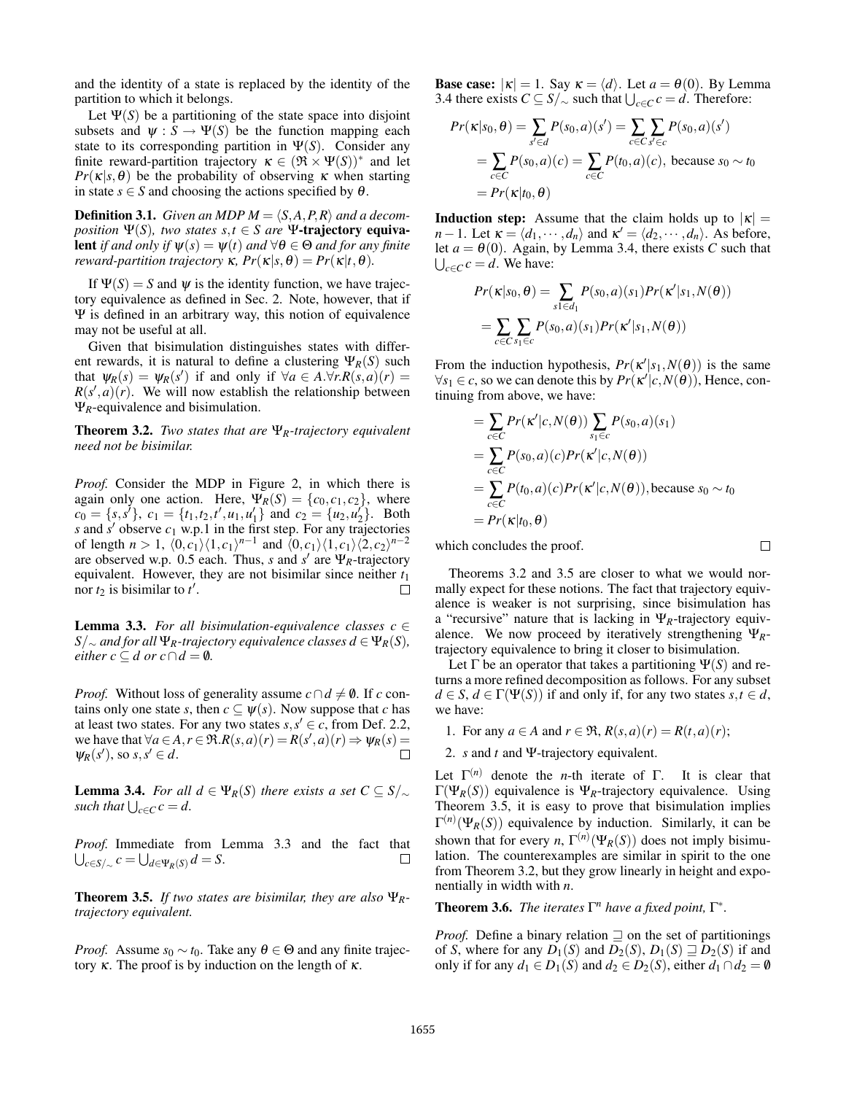and the identity of a state is replaced by the identity of the partition to which it belongs.

Let  $\Psi(S)$  be a partitioning of the state space into disjoint subsets and  $\psi : S \to \Psi(S)$  be the function mapping each state to its corresponding partition in  $\Psi(S)$ . Consider any finite reward-partition trajectory  $\kappa \in (\mathfrak{R} \times \Psi(S))^*$  and let  $Pr(\kappa|s, \theta)$  be the probability of observing  $\kappa$  when starting in state  $s \in S$  and choosing the actions specified by  $\theta$ .

**Definition 3.1.** Given an MDP  $M = \langle S, A, P, R \rangle$  and a decom*position*  $\Psi(S)$ *, two states*  $s, t \in S$  *are*  $\Psi$ -trajectory equivalent *if and only if*  $\psi(s) = \psi(t)$  *and*  $\forall \theta \in \Theta$  *and for any finite reward-partition trajectory κ*,  $Pr(\mathbf{k}|s, \theta) = Pr(\mathbf{k}|t, \theta)$ .

If  $\Psi(S) = S$  and  $\psi$  is the identity function, we have trajectory equivalence as defined in Sec. 2. Note, however, that if Ψ is defined in an arbitrary way, this notion of equivalence may not be useful at all.

Given that bisimulation distinguishes states with different rewards, it is natural to define a clustering  $\Psi_R(S)$  such that  $\psi_R(s) = \psi_R(s')$  if and only if  $\forall a \in A$ . $\forall r. R(s, a)(r) =$  $R(s', a)(r)$ . We will now establish the relationship between Ψ*R*-equivalence and bisimulation.

Theorem 3.2. *Two states that are* Ψ*R-trajectory equivalent need not be bisimilar.*

*Proof.* Consider the MDP in Figure 2, in which there is again only one action. Here,  $\Psi_R(S) = \{c_0, c_1, c_2\}$ , where  $c_0 = \{s, s'\}, c_1 = \{t_1, t_2, t', u_1, u'_1\}$  and  $c_2 = \{u_2, u'_2\}.$  Both *s* and  $s'$  observe  $c_1$  w.p.1 in the first step. For any trajectories of length  $n > 1$ ,  $\langle 0, c_1 \rangle \langle 1, c_1 \rangle^{n-1}$  and  $\langle 0, c_1 \rangle \langle 1, c_1 \rangle \langle 2, c_2 \rangle^{n-2}$ are observed w.p. 0.5 each. Thus, *s* and  $s'$  are  $\Psi_R$ -trajectory equivalent. However, they are not bisimilar since neither  $t_1$  nor  $t_2$  is bisimilar to  $t'$ . nor  $t_2$  is bisimilar to  $t'$ .

**Lemma 3.3.** For all bisimulation-equivalence classes  $c \in$  $S/\sim$  *and for all*  $\Psi_R$ -trajectory equivalence classes  $d \in \Psi_R(S)$ , *either*  $c \subseteq d$  *or*  $c \cap d = \emptyset$ *.* 

*Proof.* Without loss of generality assume  $c \cap d \neq \emptyset$ . If *c* contains only one state *s*, then  $c \subseteq \psi(s)$ . Now suppose that *c* has at least two states. For any two states  $s, s' \in c$ , from Def. 2.2, we have that  $\forall a \in A, r \in \mathfrak{R} \cdot R(s,a)(r) = R(s',a)(r) \Rightarrow \psi_R(s) =$  $\psi_R(s')$ , so  $s, s' \in d$ .

**Lemma 3.4.** *For all*  $d \in \Psi_R(S)$  *there exists a set*  $C \subseteq S/\sim$ such that  $\bigcup_{c \in C} c = d$ .

*Proof.* Immediate from Lemma 3.3 and the fact that  $\bigcup_{c \in S/\sim} c = \bigcup_{d \in \Psi_R(S)} d = S.$ П

**Theorem 3.5.** *If two states are bisimilar, they are also*  $\Psi_R$ *trajectory equivalent.*

*Proof.* Assume  $s_0 \sim t_0$ . Take any  $\theta \in \Theta$  and any finite trajectory κ. The proof is by induction on the length of κ.

**Base case:**  $|\kappa| = 1$ . Say  $\kappa = \langle d \rangle$ . Let  $a = \theta(0)$ . By Lemma 3.4 there exists  $C \subseteq S/\sim$  such that  $\bigcup_{c \in C} c = d$ . Therefore:

$$
Pr(\kappa|s_0, \theta) = \sum_{s' \in d} P(s_0, a)(s') = \sum_{c \in C} \sum_{s' \in c} P(s_0, a)(s')
$$
  
= 
$$
\sum_{c \in C} P(s_0, a)(c) = \sum_{c \in C} P(t_0, a)(c), \text{ because } s_0 \sim t_0
$$
  
= 
$$
Pr(\kappa|t_0, \theta)
$$

**Induction step:** Assume that the claim holds up to  $|\kappa|$  = *n*−1. Let  $\kappa = \langle d_1, \cdots, d_n \rangle$  and  $\kappa' = \langle d_2, \cdots, d_n \rangle$ . As before, let  $a = \theta(0)$ . Again, by Lemma 3.4, there exists *C* such that  $\bigcup_{c \in C} c = d$ . We have:

$$
Pr(\kappa|s_0, \theta) = \sum_{s1 \in d_1} P(s_0, a)(s_1) Pr(\kappa'|s_1, N(\theta))
$$
  
= 
$$
\sum_{c \in C} \sum_{s_1 \in c} P(s_0, a)(s_1) Pr(\kappa'|s_1, N(\theta))
$$

From the induction hypothesis,  $Pr(\kappa' | s_1, N(\theta))$  is the same  $∀s_1 ∈ c$ , so we can denote this by  $Pr(\kappa'|c, N(\theta))$ , Hence, continuing from above, we have:

$$
= \sum_{c \in C} Pr(\kappa'|c, N(\theta)) \sum_{s_1 \in c} P(s_0, a)(s_1)
$$
  
= 
$$
\sum_{c \in C} P(s_0, a)(c) Pr(\kappa'|c, N(\theta))
$$
  
= 
$$
\sum_{c \in C} P(t_0, a)(c) Pr(\kappa'|c, N(\theta)),
$$
 because  $s_0 \sim t_0$   
= 
$$
Pr(\kappa|t_0, \theta)
$$

which concludes the proof.

Theorems 3.2 and 3.5 are closer to what we would normally expect for these notions. The fact that trajectory equivalence is weaker is not surprising, since bisimulation has a "recursive" nature that is lacking in  $\Psi_R$ -trajectory equivalence. We now proceed by iteratively strengthening Ψ*R*trajectory equivalence to bring it closer to bisimulation.

Let  $\Gamma$  be an operator that takes a partitioning  $\Psi(S)$  and returns a more refined decomposition as follows. For any subset  $d \in S$ ,  $d \in \Gamma(\Psi(S))$  if and only if, for any two states  $s, t \in d$ , we have:

1. For any  $a \in A$  and  $r \in \mathfrak{R}$ ,  $R(s, a)(r) = R(t, a)(r)$ ;

2. *s* and *t* and Ψ-trajectory equivalent.

Let  $\Gamma^{(n)}$  denote the *n*-th iterate of  $\Gamma$ . It is clear that Γ(Ψ*R*(*S*)) equivalence is Ψ*R*-trajectory equivalence. Using Theorem 3.5, it is easy to prove that bisimulation implies  $\Gamma^{(n)}(\Psi_R(S))$  equivalence by induction. Similarly, it can be shown that for every *n*,  $\Gamma^{(n)}(\Psi_R(S))$  does not imply bisimulation. The counterexamples are similar in spirit to the one from Theorem 3.2, but they grow linearly in height and exponentially in width with *n*.

**Theorem 3.6.** *The iterates*  $\Gamma^n$  *have a fixed point*,  $\Gamma^*$ *.* 

*Proof.* Define a binary relation  $\supseteq$  on the set of partitionings of *S*, where for any  $D_1(S)$  and  $D_2(S)$ ,  $D_1(S) \sqsupseteq D_2(S)$  if and only if for any  $d_1$  ∈  $D_1(S)$  and  $d_2$  ∈  $D_2(S)$ , either  $d_1 ∩ d_2 = ∅$ 

 $\Box$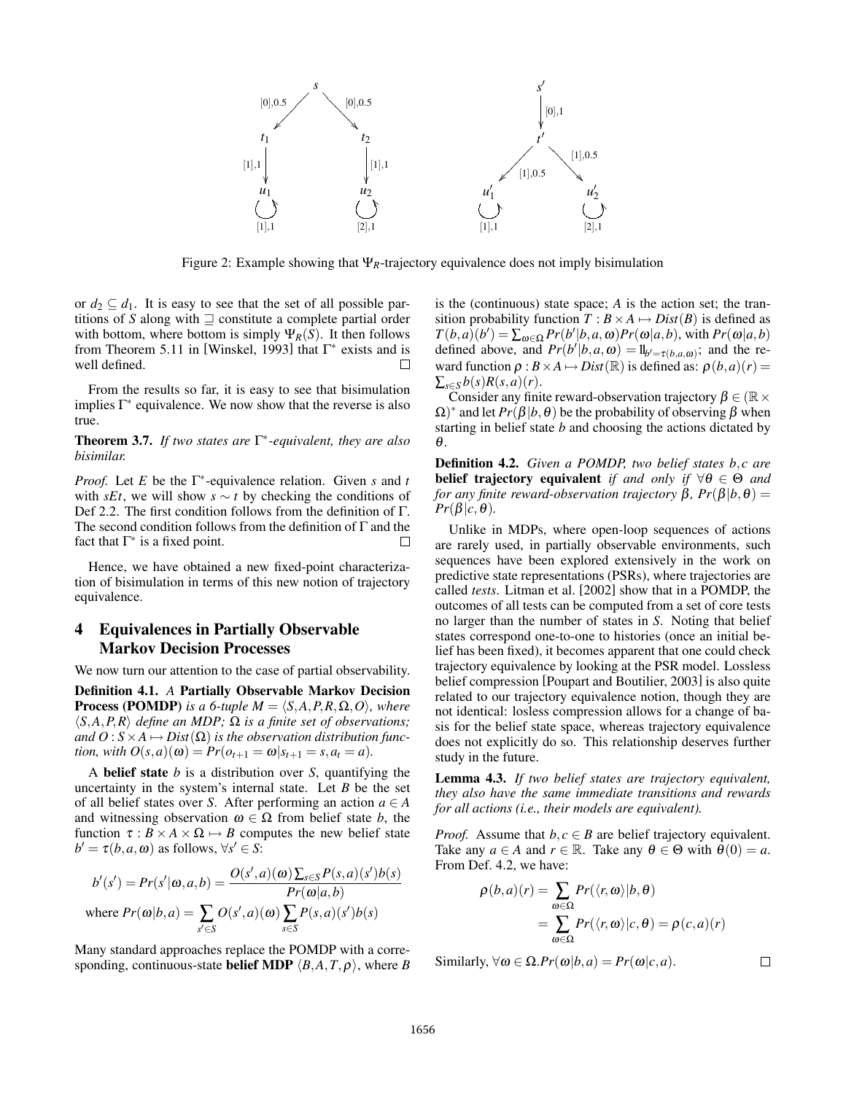

Figure 2: Example showing that Ψ*R*-trajectory equivalence does not imply bisimulation

or  $d_2 \nsubseteq d_1$ . It is easy to see that the set of all possible partitions of *S* along with  $\supseteq$  constitute a complete partial order with bottom, where bottom is simply  $\Psi_R(S)$ . It then follows from Theorem 5.11 in [Winskel, 1993] that  $\Gamma^*$  exists and is well defined.  $\Box$ 

From the results so far, it is easy to see that bisimulation implies  $\Gamma^*$  equivalence. We now show that the reverse is also true.

#### Theorem 3.7. *If two states are* Γ∗*-equivalent, they are also bisimilar.*

*Proof.* Let *E* be the Γ∗-equivalence relation. Given *s* and *t* with *sEt*, we will show  $s \sim t$  by checking the conditions of Def 2.2. The first condition follows from the definition of Γ. The second condition follows from the definition of  $\Gamma$  and the fact that  $\Gamma^*$  is a fixed point.  $\Box$ 

Hence, we have obtained a new fixed-point characterization of bisimulation in terms of this new notion of trajectory equivalence.

## 4 Equivalences in Partially Observable Markov Decision Processes

We now turn our attention to the case of partial observability.

Definition 4.1. *A* Partially Observable Markov Decision **Process (POMDP)** is a 6-tuple  $M = \langle S, A, P, R, \Omega, O \rangle$ , where  $\langle S, A, P, R \rangle$  *define an MDP;*  $\Omega$  *is a finite set of observations; and*  $O: S \times A \mapsto Dist(\Omega)$  *is the observation distribution function, with*  $O(s, a)(\omega) = Pr(o_{t+1} = \omega | s_{t+1} = s, a_t = a)$ .

A belief state *b* is a distribution over *S*, quantifying the uncertainty in the system's internal state. Let *B* be the set of all belief states over *S*. After performing an action  $a \in A$ and witnessing observation  $\omega \in \Omega$  from belief state *b*, the function  $\tau : B \times A \times \Omega \mapsto B$  computes the new belief state  $b' = \tau(b, a, \omega)$  as follows,  $\forall s' \in S$ :

$$
b'(s') = Pr(s'|\omega, a, b) = \frac{O(s', a)(\omega) \sum_{s \in S} P(s, a)(s')b(s)}{Pr(\omega|a, b)}
$$
  
where  $Pr(\omega|b, a) = \sum_{s' \in S} O(s', a)(\omega) \sum_{s \in S} P(s, a)(s')b(s)$ 

Many standard approaches replace the POMDP with a corresponding, continuous-state **belief MDP**  $\langle B, A, T, \rho \rangle$ , where *B* 

is the (continuous) state space; *A* is the action set; the transition probability function  $T : B \times A \mapsto Dist(B)$  is defined as  $T(b, a)(b') = \sum_{\omega \in \Omega} Pr(b'|b, a, \omega) Pr(\omega|a, b)$ , with  $Pr(\omega|a, b)$ defined above, and  $Pr(b'|b, a, \omega) = 1$ <sub>*b*'=τ(*b*,*a*,ω); and the re-</sub> ward function  $\rho : B \times A \mapsto Dist(\mathbb{R})$  is defined as:  $\rho(b,a)(r) =$  $\sum_{s\in S} b(s)R(s,a)(r).$ 

Consider any finite reward-observation trajectory  $\beta \in \mathbb{R} \times$  $Ω$ <sup>\*</sup> and let  $Pr(β|b,θ)$  be the probability of observing  $β$  when starting in belief state *b* and choosing the actions dictated by θ.

Definition 4.2. *Given a POMDP, two belief states b*,*c are* belief trajectory equivalent *if and only if* ∀θ ∈ Θ *and for any finite reward-observation trajectory*  $\beta$ ,  $Pr(\beta | b, \theta)$  =  $Pr(\beta|c,\theta)$ *.* 

Unlike in MDPs, where open-loop sequences of actions are rarely used, in partially observable environments, such sequences have been explored extensively in the work on predictive state representations (PSRs), where trajectories are called *tests*. Litman et al. [2002] show that in a POMDP, the outcomes of all tests can be computed from a set of core tests no larger than the number of states in *S*. Noting that belief states correspond one-to-one to histories (once an initial belief has been fixed), it becomes apparent that one could check trajectory equivalence by looking at the PSR model. Lossless belief compression [Poupart and Boutilier, 2003] is also quite related to our trajectory equivalence notion, though they are not identical: losless compression allows for a change of basis for the belief state space, whereas trajectory equivalence does not explicitly do so. This relationship deserves further study in the future.

Lemma 4.3. *If two belief states are trajectory equivalent, they also have the same immediate transitions and rewards for all actions (i.e., their models are equivalent).*

*Proof.* Assume that  $b, c \in B$  are belief trajectory equivalent. Take any  $a \in A$  and  $r \in \mathbb{R}$ . Take any  $\theta \in \Theta$  with  $\theta(0) = a$ . From Def. 4.2, we have:

$$
\rho(b,a)(r) = \sum_{\omega \in \Omega} Pr(\langle r, \omega \rangle | b, \theta)
$$
  
= 
$$
\sum_{\omega \in \Omega} Pr(\langle r, \omega \rangle | c, \theta) = \rho(c, a)(r)
$$

Similarly,  $\forall \omega \in \Omega$ .  $Pr(\omega|b, a) = Pr(\omega|c, a)$ .

 $\Box$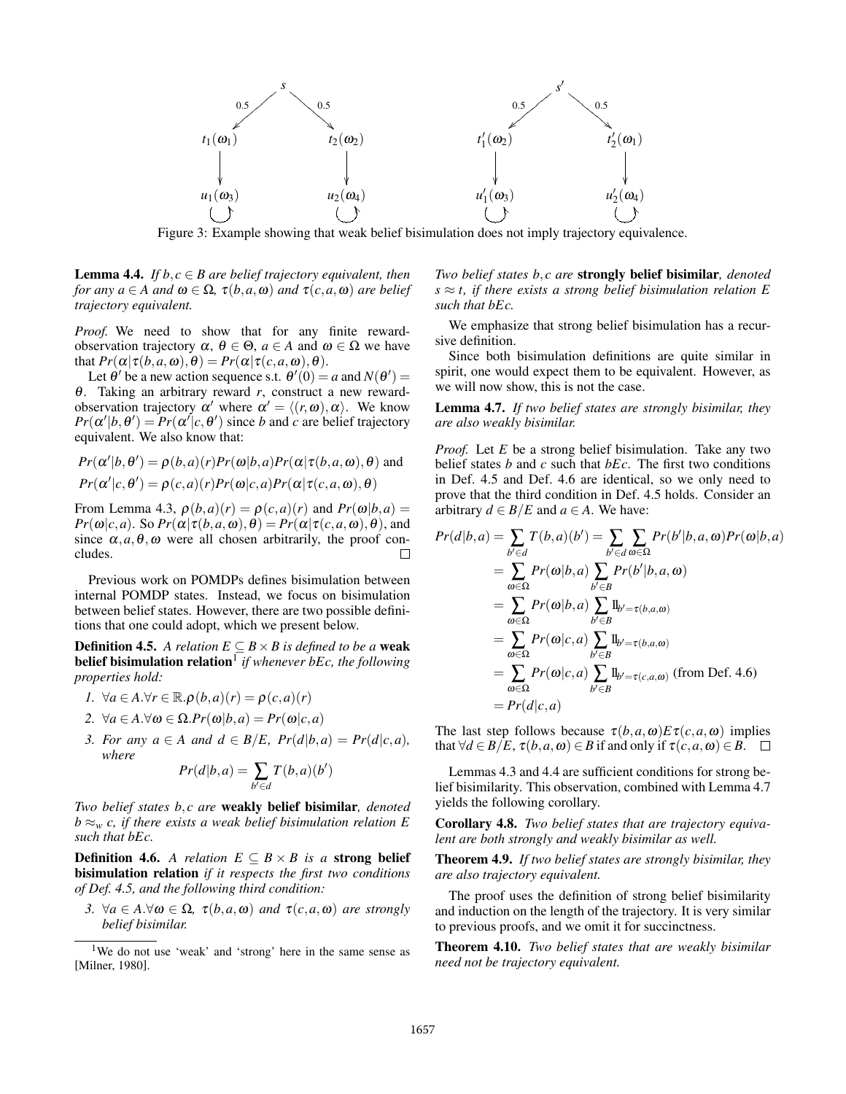

Figure 3: Example showing that weak belief bisimulation does not imply trajectory equivalence.

**Lemma 4.4.** *If b,c*  $\in$  *B* are belief trajectory equivalent, then *for any*  $a \in A$  *and*  $\omega \in \Omega$ ,  $\tau(b, a, \omega)$  *and*  $\tau(c, a, \omega)$  *are belief trajectory equivalent.*

*Proof.* We need to show that for any finite rewardobservation trajectory  $\alpha$ ,  $\theta \in \Theta$ ,  $a \in A$  and  $\omega \in \Omega$  we have that  $Pr(\alpha | \tau(b, a, \omega), \theta) = Pr(\alpha | \tau(c, a, \omega), \theta).$ 

Let  $\theta'$  be a new action sequence s.t.  $\theta'(0) = a$  and  $N(\theta') =$ θ. Taking an arbitrary reward *r*, construct a new rewardobservation trajectory  $\alpha'$  where  $\alpha' = \langle (r, \omega), \alpha \rangle$ . We know  $Pr(\alpha' | b, \theta') = Pr(\alpha' | c, \theta')$  since *b* and *c* are belief trajectory equivalent. We also know that:

$$
Pr(\alpha'|b, \theta') = \rho(b, a)(r)Pr(\omega|b, a)Pr(\alpha|\tau(b, a, \omega), \theta)
$$
 and  

$$
Pr(\alpha'|c, \theta') = \rho(c, a)(r)Pr(\omega|c, a)Pr(\alpha|\tau(c, a, \omega), \theta)
$$

From Lemma 4.3,  $\rho(b,a)(r) = \rho(c,a)(r)$  and  $Pr(\omega|b,a) =$  $Pr(\omega|c, a)$ . So  $Pr(\alpha|\tau(b, a, \omega), \theta) = Pr(\alpha|\tau(c, a, \omega), \theta)$ , and since  $\alpha$ ,  $a$ ,  $\theta$ ,  $\omega$  were all chosen arbitrarily, the proof concludes. П

Previous work on POMDPs defines bisimulation between internal POMDP states. Instead, we focus on bisimulation between belief states. However, there are two possible definitions that one could adopt, which we present below.

**Definition 4.5.** *A relation*  $E \subseteq B \times B$  *is defined to be a* weak **belief bisimulation relation**  $\overline{\text{if}}$  whenever bEc, the following *properties hold:*

- *1.*  $\forall a \in A \forall r \in \mathbb{R}. \rho(b,a)(r) = \rho(c,a)(r)$
- *2.* ∀*a* ∈ *A*.∀ω ∈ Ω.*Pr*(ω|*b*,*a*) = *Pr*(ω|*c*,*a*)
- *3. For any*  $a \in A$  *and*  $d \in B/E$ ,  $Pr(d|b,a) = Pr(d|c,a)$ , *where*

$$
Pr(d|b,a) = \sum_{b' \in d} T(b,a)(b')
$$

*Two belief states b*,*c are* weakly belief bisimilar*, denoted*  $b \approx$ *w c, if there exists a weak belief bisimulation relation E such that bEc.*

**Definition 4.6.** *A relation*  $E \subseteq B \times B$  *is a* strong belief bisimulation relation *if it respects the first two conditions of Def. 4.5, and the following third condition:*

*3.* ∀*a* ∈ *A*.∀ $ω$  ∈ Ω,  $τ(b, a, ω)$  *and*  $τ(c, a, ω)$  *are strongly belief bisimilar.*

*Two belief states b*,*c are* strongly belief bisimilar*, denoted*  $s \approx t$ , if there exists a strong belief bisimulation relation E *such that bEc.*

We emphasize that strong belief bisimulation has a recursive definition.

Since both bisimulation definitions are quite similar in spirit, one would expect them to be equivalent. However, as we will now show, this is not the case.

Lemma 4.7. *If two belief states are strongly bisimilar, they are also weakly bisimilar.*

*Proof.* Let *E* be a strong belief bisimulation. Take any two belief states *b* and *c* such that *bEc*. The first two conditions in Def. 4.5 and Def. 4.6 are identical, so we only need to prove that the third condition in Def. 4.5 holds. Consider an arbitrary  $d \in B/E$  and  $a \in A$ . We have:

$$
Pr(d|b,a) = \sum_{b' \in d} T(b,a)(b') = \sum_{b' \in d} \sum_{\omega \in \Omega} Pr(b'|b,a,\omega)Pr(\omega|b,a)
$$
  
= 
$$
\sum_{\omega \in \Omega} Pr(\omega|b,a) \sum_{b' \in B} Pr(b'|b,a,\omega)
$$
  
= 
$$
\sum_{\omega \in \Omega} Pr(\omega|b,a) \sum_{b' \in B} 1_{b' = \tau(b,a,\omega)}
$$
  
= 
$$
\sum_{\omega \in \Omega} Pr(\omega|c,a) \sum_{b' \in B} 1_{b' = \tau(b,a,\omega)}
$$
  
= 
$$
\sum_{\omega \in \Omega} Pr(\omega|c,a) \sum_{b' \in B} 1_{b' = \tau(c,a,\omega)}
$$
 (from Def. 4.6)  
= 
$$
Pr(d|c,a)
$$

The last step follows because  $\tau(b, a, \omega) E \tau(c, a, \omega)$  implies that  $\forall d \in B/E$ ,  $\tau(b, a, \omega) \in B$  if and only if  $\tau(c, a, \omega) \in B$ .  $\Box$ 

Lemmas 4.3 and 4.4 are sufficient conditions for strong belief bisimilarity. This observation, combined with Lemma 4.7 yields the following corollary.

Corollary 4.8. *Two belief states that are trajectory equivalent are both strongly and weakly bisimilar as well.*

Theorem 4.9. *If two belief states are strongly bisimilar, they are also trajectory equivalent.*

The proof uses the definition of strong belief bisimilarity and induction on the length of the trajectory. It is very similar to previous proofs, and we omit it for succinctness.

Theorem 4.10. *Two belief states that are weakly bisimilar need not be trajectory equivalent.*

<sup>1</sup>We do not use 'weak' and 'strong' here in the same sense as [Milner, 1980].